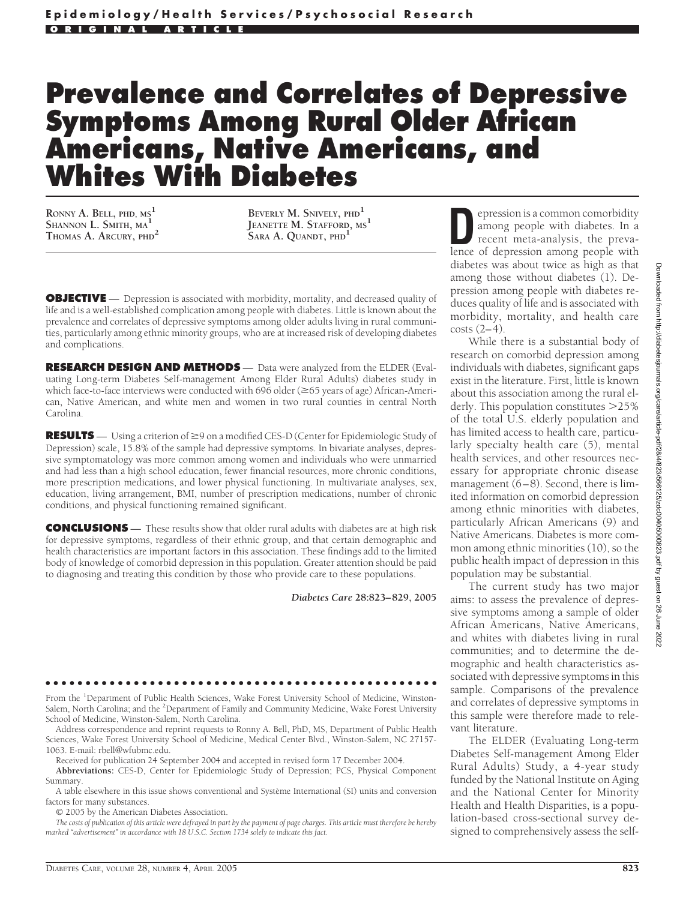## **Prevalence and Correlates of Depressive Symptoms Among Rural Older African Americans, Native Americans, and Whites With Diabetes**

**RONNY A. BELL, PHD, MS<sup>1</sup> SHANNON L. SMITH, MA<sup>1</sup> THOMAS A. ARCURY, PHD<sup>2</sup>**

**BEVERLY M. SNIVELY, PHD<sup>1</sup> JEANETTE M. STAFFORD, MS<sup>1</sup> SARA A. QUANDT, PHD<sup>1</sup>**

**OBJECTIVE** — Depression is associated with morbidity, mortality, and decreased quality of life and is a well-established complication among people with diabetes. Little is known about the prevalence and correlates of depressive symptoms among older adults living in rural communities, particularly among ethnic minority groups, who are at increased risk of developing diabetes and complications.

**RESEARCH DESIGN AND METHODS** — Data were analyzed from the ELDER (Evaluating Long-term Diabetes Self-management Among Elder Rural Adults) diabetes study in which face-to-face interviews were conducted with 696 older (≥65 years of age) African-American, Native American, and white men and women in two rural counties in central North Carolina.

**RESULTS** — Using a criterion of  $\geq 9$  on a modified CES-D (Center for Epidemiologic Study of Depression) scale, 15.8% of the sample had depressive symptoms. In bivariate analyses, depressive symptomatology was more common among women and individuals who were unmarried and had less than a high school education, fewer financial resources, more chronic conditions, more prescription medications, and lower physical functioning. In multivariate analyses, sex, education, living arrangement, BMI, number of prescription medications, number of chronic conditions, and physical functioning remained significant.

**CONCLUSIONS** — These results show that older rural adults with diabetes are at high risk for depressive symptoms, regardless of their ethnic group, and that certain demographic and health characteristics are important factors in this association. These findings add to the limited body of knowledge of comorbid depression in this population. Greater attention should be paid to diagnosing and treating this condition by those who provide care to these populations.

*Diabetes Care* **28:823– 829, 2005**

## ●●●●●●●●●●●●●●●●●●●●●●●●●●●●●●●●●●●●●●●●●●●●●●●●●

From the <sup>1</sup>Department of Public Health Sciences, Wake Forest University School of Medicine, Winston-Salem, North Carolina; and the <sup>2</sup>Department of Family and Community Medicine, Wake Forest University School of Medicine, Winston-Salem, North Carolina.

Address correspondence and reprint requests to Ronny A. Bell, PhD, MS, Department of Public Health Sciences, Wake Forest University School of Medicine, Medical Center Blvd., Winston-Salem, NC 27157- 1063. E-mail: rbell@wfubmc.edu.

Received for publication 24 September 2004 and accepted in revised form 17 December 2004.

**Abbreviations:** CES-D, Center for Epidemiologic Study of Depression; PCS, Physical Component Summary.

A table elsewhere in this issue shows conventional and Système International (SI) units and conversion factors for many substances.

© 2005 by the American Diabetes Association.

*The costs of publication of this article were defrayed in part by the payment of page charges. This article must therefore be hereby marked "advertisement" in accordance with 18 U.S.C. Section 1734 solely to indicate this fact.*

**D**epression is a common comorbidity<br>among people with diabetes. In a<br>recent meta-analysis, the preva-<br>lence of depression among people with among people with diabetes. In a recent meta-analysis, the prevalence of depression among people with diabetes was about twice as high as that among those without diabetes (1). Depression among people with diabetes reduces quality of life and is associated with morbidity, mortality, and health care  $costs(2-4)$ .

While there is a substantial body of research on comorbid depression among individuals with diabetes, significant gaps exist in the literature. First, little is known about this association among the rural elderly. This population constitutes 25% of the total U.S. elderly population and has limited access to health care, particularly specialty health care (5), mental health services, and other resources necessary for appropriate chronic disease management (6–8). Second, there is limited information on comorbid depression among ethnic minorities with diabetes, particularly African Americans (9) and Native Americans. Diabetes is more common among ethnic minorities (10), so the public health impact of depression in this population may be substantial.

The current study has two major aims: to assess the prevalence of depressive symptoms among a sample of older African Americans, Native Americans, and whites with diabetes living in rural communities; and to determine the demographic and health characteristics associated with depressive symptoms in this sample. Comparisons of the prevalence and correlates of depressive symptoms in this sample were therefore made to relevant literature.

The ELDER (Evaluating Long-term Diabetes Self-management Among Elder Rural Adults) Study, a 4-year study funded by the National Institute on Aging and the National Center for Minority Health and Health Disparities, is a population-based cross-sectional survey designed to comprehensively assess the self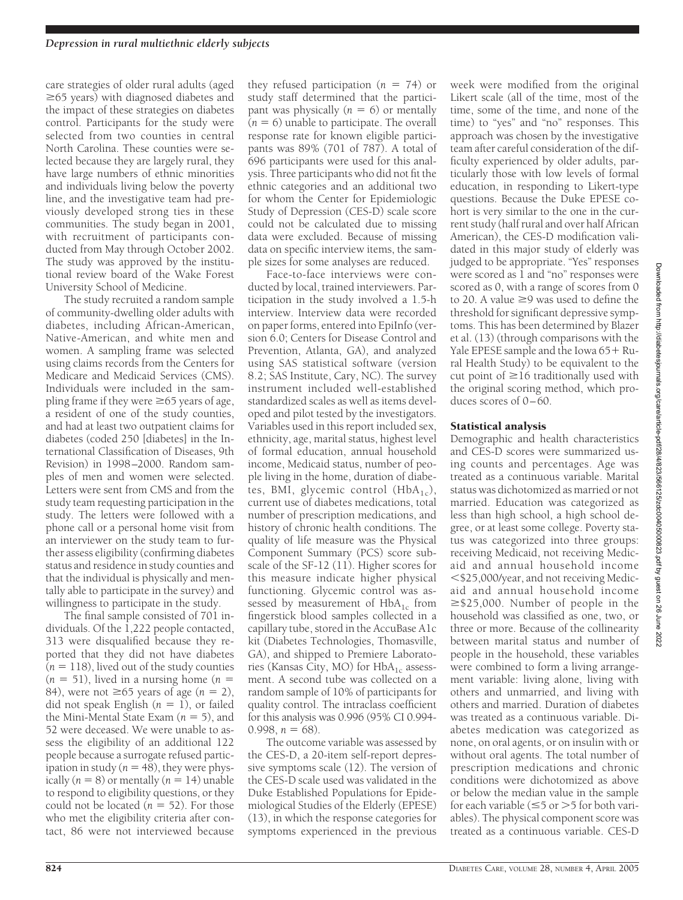care strategies of older rural adults (aged  $\geq$ 65 years) with diagnosed diabetes and the impact of these strategies on diabetes control. Participants for the study were selected from two counties in central North Carolina. These counties were selected because they are largely rural, they have large numbers of ethnic minorities and individuals living below the poverty line, and the investigative team had previously developed strong ties in these communities. The study began in 2001, with recruitment of participants conducted from May through October 2002. The study was approved by the institutional review board of the Wake Forest University School of Medicine.

The study recruited a random sample of community-dwelling older adults with diabetes, including African-American, Native-American, and white men and women. A sampling frame was selected using claims records from the Centers for Medicare and Medicaid Services (CMS). Individuals were included in the sampling frame if they were  $\geq 65$  years of age, a resident of one of the study counties, and had at least two outpatient claims for diabetes (coded 250 [diabetes] in the International Classification of Diseases, 9th Revision) in 1998–2000. Random samples of men and women were selected. Letters were sent from CMS and from the study team requesting participation in the study. The letters were followed with a phone call or a personal home visit from an interviewer on the study team to further assess eligibility (confirming diabetes status and residence in study counties and that the individual is physically and mentally able to participate in the survey) and willingness to participate in the study.

The final sample consisted of 701 individuals. Of the  $\hat{1}$ , 222 people contacted, 313 were disqualified because they reported that they did not have diabetes  $(n = 118)$ , lived out of the study counties  $(n = 51)$ , lived in a nursing home  $(n = 1)$ 84), were not  $\geq 65$  years of age  $(n = 2)$ , did not speak English  $(n = 1)$ , or failed the Mini-Mental State Exam  $(n = 5)$ , and 52 were deceased. We were unable to assess the eligibility of an additional 122 people because a surrogate refused participation in study ( $n = 48$ ), they were physically  $(n = 8)$  or mentally  $(n = 14)$  unable to respond to eligibility questions, or they could not be located  $(n = 52)$ . For those who met the eligibility criteria after contact, 86 were not interviewed because

they refused participation  $(n = 74)$  or study staff determined that the participant was physically  $(n = 6)$  or mentally  $(n = 6)$  unable to participate. The overall response rate for known eligible participants was 89% (701 of 787). A total of 696 participants were used for this analysis. Three participants who did not fit the ethnic categories and an additional two for whom the Center for Epidemiologic Study of Depression (CES-D) scale score could not be calculated due to missing data were excluded. Because of missing data on specific interview items, the sample sizes for some analyses are reduced.

Face-to-face interviews were conducted by local, trained interviewers. Participation in the study involved a 1.5-h interview. Interview data were recorded on paper forms, entered into EpiInfo (version 6.0; Centers for Disease Control and Prevention, Atlanta, GA), and analyzed using SAS statistical software (version 8.2; SAS Institute, Cary, NC). The survey instrument included well-established standardized scales as well as items developed and pilot tested by the investigators. Variables used in this report included sex, ethnicity, age, marital status, highest level of formal education, annual household income, Medicaid status, number of people living in the home, duration of diabetes, BMI, glycemic control  $(HbA_{1c})$ , current use of diabetes medications, total number of prescription medications, and history of chronic health conditions. The quality of life measure was the Physical Component Summary (PCS) score subscale of the SF-12 (11). Higher scores for this measure indicate higher physical functioning. Glycemic control was assessed by measurement of  $HbA_{1c}$  from fingerstick blood samples collected in a capillary tube, stored in the AccuBase A1c kit (Diabetes Technologies, Thomasville, GA), and shipped to Premiere Laboratories (Kansas City, MO) for  $HbA_{1c}$  assessment. A second tube was collected on a random sample of 10% of participants for quality control. The intraclass coefficient for this analysis was 0.996 (95% CI 0.994-  $0.998$ ,  $n = 68$ ).

The outcome variable was assessed by the CES-D, a 20-item self-report depressive symptoms scale (12). The version of the CES-D scale used was validated in the Duke Established Populations for Epidemiological Studies of the Elderly (EPESE) (13), in which the response categories for symptoms experienced in the previous

week were modified from the original Likert scale (all of the time, most of the time, some of the time, and none of the time) to "yes" and "no" responses. This approach was chosen by the investigative team after careful consideration of the difficulty experienced by older adults, particularly those with low levels of formal education, in responding to Likert-type questions. Because the Duke EPESE cohort is very similar to the one in the current study (half rural and over half African American), the CES-D modification validated in this major study of elderly was judged to be appropriate. "Yes" responses were scored as 1 and "no" responses were scored as 0, with a range of scores from 0 to 20. A value  $\geq$ 9 was used to define the threshold for significant depressive symptoms. This has been determined by Blazer et al. (13) (through comparisons with the Yale EPESE sample and the Iowa  $65 + Ru$ ral Health Study) to be equivalent to the cut point of  $\geq 16$  traditionally used with the original scoring method, which produces scores of 0–60.

## Statistical analysis

Demographic and health characteristics and CES-D scores were summarized using counts and percentages. Age was treated as a continuous variable. Marital status was dichotomized as married or not married. Education was categorized as less than high school, a high school degree, or at least some college. Poverty status was categorized into three groups: receiving Medicaid, not receiving Medicaid and annual household income \$25,000/year, and not receiving Medicaid and annual household income  $\geq$ \$25,000. Number of people in the household was classified as one, two, or three or more. Because of the collinearity between marital status and number of people in the household, these variables were combined to form a living arrangement variable: living alone, living with others and unmarried, and living with others and married. Duration of diabetes was treated as a continuous variable. Diabetes medication was categorized as none, on oral agents, or on insulin with or without oral agents. The total number of prescription medications and chronic conditions were dichotomized as above or below the median value in the sample for each variable ( $\leq$ 5 or  $>$ 5 for both variables). The physical component score was treated as a continuous variable. CES-D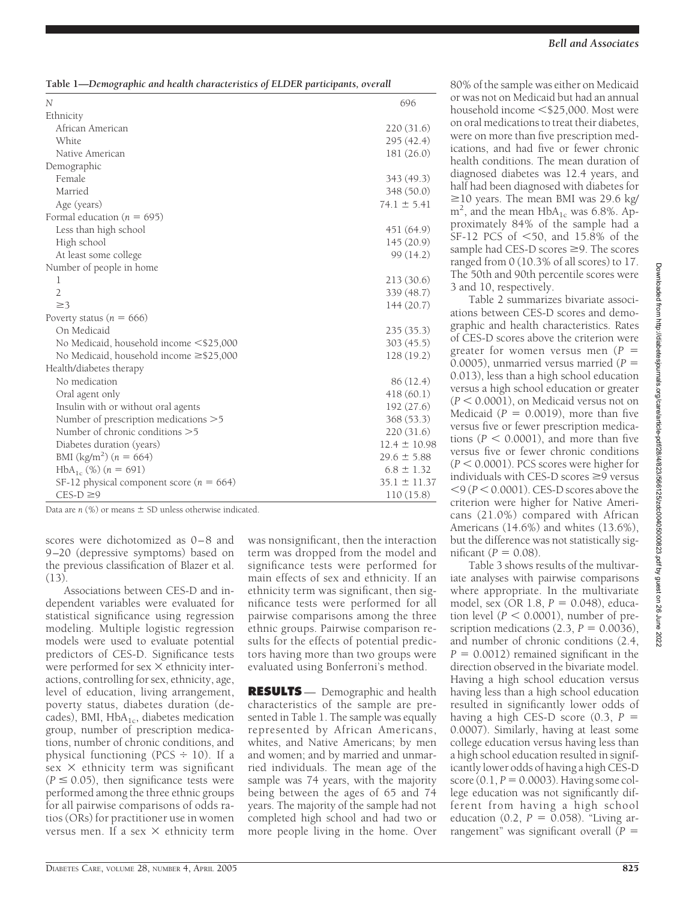**Table 1—***Demographic and health characteristics of ELDER participants, overall*

| N                                             | 696              |
|-----------------------------------------------|------------------|
| Ethnicity                                     |                  |
| African American                              | 220(31.6)        |
| White                                         | 295(42.4)        |
| Native American                               | 181 (26.0)       |
| Demographic                                   |                  |
| Female                                        | 343 (49.3)       |
| Married                                       | 348 (50.0)       |
| Age (years)                                   | $74.1 \pm 5.41$  |
| Formal education ( $n = 695$ )                |                  |
| Less than high school                         | 451 (64.9)       |
| High school                                   | 145 (20.9)       |
| At least some college                         | 99 (14.2)        |
| Number of people in home                      |                  |
| 1                                             | 213(30.6)        |
| $\overline{2}$                                | 339 (48.7)       |
| $\geq$ 3                                      | 144(20.7)        |
| Poverty status ( $n = 666$ )                  |                  |
| On Medicaid                                   | 235(35.3)        |
| No Medicaid, household income <\$25,000       | 303(45.5)        |
| No Medicaid, household income $\geq$ \$25,000 | 128 (19.2)       |
| Health/diabetes therapy                       |                  |
| No medication                                 | 86 (12.4)        |
| Oral agent only                               | 418(60.1)        |
| Insulin with or without oral agents           | 192(27.6)        |
| Number of prescription medications >5         | 368 (53.3)       |
| Number of chronic conditions >5               | 220(31.6)        |
| Diabetes duration (years)                     | $12.4 \pm 10.98$ |
| BMI (kg/m <sup>2</sup> ) ( $n = 664$ )        | $29.6 \pm 5.88$  |
| $HbA_{1c}$ (%) $(n = 691)$                    | $6.8 \pm 1.32$   |
| SF-12 physical component score ( $n = 664$ )  | $35.1 \pm 11.37$ |
| $CES-D \geq 9$                                | 110(15.8)        |

Data are  $n$  (%) or means  $\pm$  SD unless otherwise indicated.

scores were dichotomized as 0–8 and 9–20 (depressive symptoms) based on the previous classification of Blazer et al. (13).

Associations between CES-D and independent variables were evaluated for statistical significance using regression modeling. Multiple logistic regression models were used to evaluate potential predictors of CES-D. Significance tests were performed for sex  $\times$  ethnicity interactions, controlling for sex, ethnicity, age, level of education, living arrangement, poverty status, diabetes duration (decades), BMI,  $HbA_{1c}$ , diabetes medication group, number of prescription medications, number of chronic conditions, and physical functioning (PCS  $\div$  10). If a  $sex \times$  ethnicity term was significant  $(P \le 0.05)$ , then significance tests were performed among the three ethnic groups for all pairwise comparisons of odds ratios (ORs) for practitioner use in women versus men. If a sex  $\times$  ethnicity term

was nonsignificant, then the interaction term was dropped from the model and significance tests were performed for main effects of sex and ethnicity. If an ethnicity term was significant, then significance tests were performed for all pairwise comparisons among the three ethnic groups. Pairwise comparison results for the effects of potential predictors having more than two groups were evaluated using Bonferroni's method.

**RESULTS** — Demographic and health characteristics of the sample are presented in Table 1. The sample was equally represented by African Americans, whites, and Native Americans; by men and women; and by married and unmarried individuals. The mean age of the sample was 74 years, with the majority being between the ages of 65 and 74 years. The majority of the sample had not completed high school and had two or more people living in the home. Over

80% of the sample was either on Medicaid or was not on Medicaid but had an annual household income <\$25,000. Most were on oral medications to treat their diabetes, were on more than five prescription medications, and had five or fewer chronic health conditions. The mean duration of diagnosed diabetes was 12.4 years, and half had been diagnosed with diabetes for  $\geq$ 10 years. The mean BMI was 29.6 kg/  $m^2$ , and the mean  $HbA_{1c}$  was 6.8%. Approximately 84% of the sample had a SF-12 PCS of  $\leq 50$ , and 15.8% of the sample had CES-D scores  $\geq$ 9. The scores ranged from 0 (10.3% of all scores) to 17. The 50th and 90th percentile scores were 3 and 10, respectively.

Table 2 summarizes bivariate associations between CES-D scores and demographic and health characteristics. Rates of CES-D scores above the criterion were greater for women versus men  $(P =$ 0.0005), unmarried versus married ( $P =$ 0.013), less than a high school education versus a high school education or greater  $(P < 0.0001)$ , on Medicaid versus not on Medicaid  $(P = 0.0019)$ , more than five versus five or fewer prescription medications  $(P < 0.0001)$ , and more than five versus five or fewer chronic conditions  $(P < 0.0001)$ . PCS scores were higher for individuals with CES-D scores  $\geq$ 9 versus  $<$ 9 ( $P$   $<$  0.0001). CES-D scores above the criterion were higher for Native Americans (21.0%) compared with African Americans (14.6%) and whites (13.6%), but the difference was not statistically sig $n$ ificant ( $P = 0.08$ ).

Table 3 shows results of the multivariate analyses with pairwise comparisons where appropriate. In the multivariate model, sex (OR 1.8, *P* = 0.048), education level ( $P < 0.0001$ ), number of prescription medications  $(2.3, P = 0.0036)$ , and number of chronic conditions (2.4,  $P = 0.0012$ ) remained significant in the direction observed in the bivariate model. Having a high school education versus having less than a high school education resulted in significantly lower odds of having a high CES-D score  $(0.3, P =$ 0.0007). Similarly, having at least some college education versus having less than a high school education resulted in significantly lower odds of having a high CES-D  $score(0.1, P = 0.0003)$ . Having some college education was not significantly different from having a high school education  $(0.2, P = 0.058)$ . "Living arrangement" was significant overall (*P* -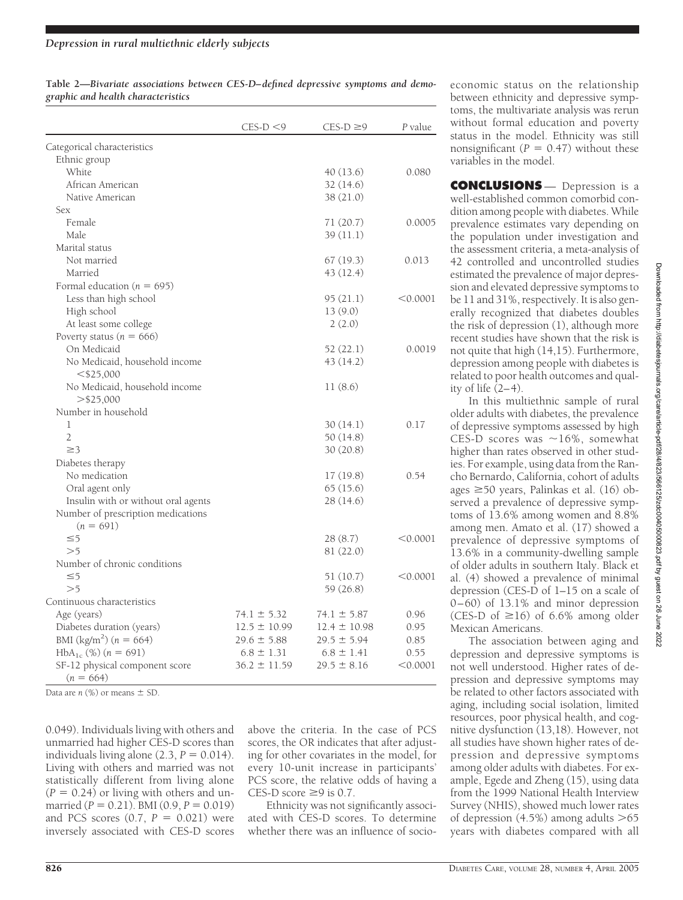| Table 2—Bivariate associations between CES-D-defined depressive symptoms and demo- |  |  |  |
|------------------------------------------------------------------------------------|--|--|--|
| graphic and health characteristics                                                 |  |  |  |

|                                     | $CES-D < 9$      | $CES-D \geq 9$   | P value  |
|-------------------------------------|------------------|------------------|----------|
| Categorical characteristics         |                  |                  |          |
| Ethnic group                        |                  |                  |          |
| White                               |                  | 40 (13.6)        | 0.080    |
| African American                    |                  | 32 (14.6)        |          |
| Native American                     |                  | 38 (21.0)        |          |
| <b>Sex</b>                          |                  |                  |          |
| Female                              |                  | 71 $(20.7)$      | 0.0005   |
| Male                                |                  | 39(11.1)         |          |
| Marital status                      |                  |                  |          |
| Not married                         |                  | 67(19.3)         | 0.013    |
| Married                             |                  | 43 (12.4)        |          |
| Formal education ( $n = 695$ )      |                  |                  |          |
| Less than high school               |                  | 95 (21.1)        | < 0.0001 |
| High school                         |                  | 13(9.0)          |          |
| At least some college               |                  | 2(2.0)           |          |
| Poverty status ( $n = 666$ )        |                  |                  |          |
| On Medicaid                         |                  | 52 (22.1)        | 0.0019   |
| No Medicaid, household income       |                  | 43 (14.2)        |          |
| $<$ \$25,000                        |                  |                  |          |
| No Medicaid, household income       |                  | 11(8.6)          |          |
| $>$ \$25,000                        |                  |                  |          |
| Number in household                 |                  |                  |          |
| 1                                   |                  | 30(14.1)         | 0.17     |
| $\overline{2}$                      |                  | 50 (14.8)        |          |
| $\geq$ 3                            |                  | 30(20.8)         |          |
| Diabetes therapy                    |                  |                  |          |
| No medication                       |                  | 17(19.8)         | 0.54     |
| Oral agent only                     |                  | 65(15.6)         |          |
| Insulin with or without oral agents |                  | 28 (14.6)        |          |
| Number of prescription medications  |                  |                  |          |
| $(n = 691)$                         |                  |                  |          |
| $\leq 5$                            |                  | 28(8.7)          | < 0.0001 |
| >5                                  |                  | 81 (22.0)        |          |
| Number of chronic conditions        |                  |                  |          |
| $\leq 5$                            |                  | 51 (10.7)        | < 0.0001 |
| >5                                  |                  | 59 (26.8)        |          |
| Continuous characteristics          |                  |                  |          |
| Age (years)                         | $74.1 \pm 5.32$  | $74.1 \pm 5.87$  | 0.96     |
| Diabetes duration (years)           | $12.5 \pm 10.99$ | $12.4 \pm 10.98$ | 0.95     |
| BMI $(kg/m^2)$ (n = 664)            | $29.6 \pm 5.88$  | $29.5 \pm 5.94$  | 0.85     |
| $HbA_{1c}$ (%) $(n = 691)$          | $6.8 \pm 1.31$   | $6.8 \pm 1.41$   | 0.55     |
| SF-12 physical component score      | $36.2 \pm 11.59$ | $29.5 \pm 8.16$  | < 0.0001 |
| $(n = 664)$                         |                  |                  |          |

Data are  $n$  (%) or means  $\pm$  SD.

0.049). Individuals living with others and unmarried had higher CES-D scores than individuals living alone  $(2.3, P = 0.014)$ . Living with others and married was not statistically different from living alone  $(P = 0.24)$  or living with others and unmarried ( $P = 0.21$ ). BMI ( $0.9, P = 0.019$ ) and PCS scores  $(0.7, P = 0.021)$  were inversely associated with CES-D scores

above the criteria. In the case of PCS scores, the OR indicates that after adjusting for other covariates in the model, for every 10-unit increase in participants' PCS score, the relative odds of having a CES-D score  $\geq$ 9 is 0.7.

Ethnicity was not significantly associated with CES-D scores. To determine whether there was an influence of socioeconomic status on the relationship between ethnicity and depressive symptoms, the multivariate analysis was rerun without formal education and poverty status in the model. Ethnicity was still nonsignificant  $(P = 0.47)$  without these variables in the model.

**CONCLUSIONS** — Depression is a well-established common comorbid condition among people with diabetes. While prevalence estimates vary depending on the population under investigation and the assessment criteria, a meta-analysis of 42 controlled and uncontrolled studies estimated the prevalence of major depression and elevated depressive symptoms to be 11 and 31%, respectively. It is also generally recognized that diabetes doubles the risk of depression (1), although more recent studies have shown that the risk is not quite that high (14,15). Furthermore, depression among people with diabetes is related to poor health outcomes and quality of life  $(2-4)$ .

In this multiethnic sample of rural older adults with diabetes, the prevalence of depressive symptoms assessed by high CES-D scores was  $\sim$ 16%, somewhat higher than rates observed in other studies. For example, using data from the Rancho Bernardo, California, cohort of adults ages  $\geq$ 50 years, Palinkas et al. (16) observed a prevalence of depressive symptoms of 13.6% among women and 8.8% among men. Amato et al. (17) showed a prevalence of depressive symptoms of 13.6% in a community-dwelling sample of older adults in southern Italy. Black et al. (4) showed a prevalence of minimal depression (CES-D of 1–15 on a scale of 0–60) of 13.1% and minor depression (CES-D of  $\geq 16$ ) of 6.6% among older Mexican Americans.

The association between aging and depression and depressive symptoms is not well understood. Higher rates of depression and depressive symptoms may be related to other factors associated with aging, including social isolation, limited resources, poor physical health, and cognitive dysfunction (13,18). However, not all studies have shown higher rates of depression and depressive symptoms among older adults with diabetes. For example, Egede and Zheng (15), using data from the 1999 National Health Interview Survey (NHIS), showed much lower rates of depression  $(4.5\%)$  among adults  $>65$ years with diabetes compared with all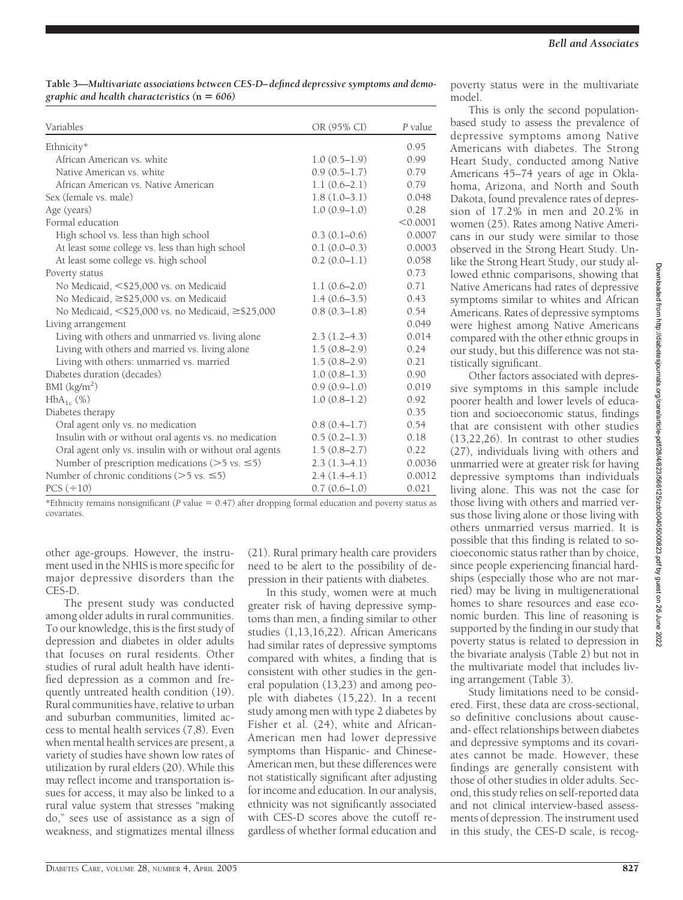| Table 3—Multivariate associations between CES-D-defined depressive symptoms and demo- |  |
|---------------------------------------------------------------------------------------|--|
| graphic and health characteristics $(n = 606)$                                        |  |

| Variables                                                     | OR (95% CI)      | P value  |
|---------------------------------------------------------------|------------------|----------|
| Ethnicity*                                                    |                  | 0.95     |
| African American vs. white                                    | $1.0(0.5-1.9)$   | 0.99     |
| Native American vs. white                                     | $0.9(0.5-1.7)$   | 0.79     |
| African American vs. Native American                          | $1.1(0.6-2.1)$   | 0.79     |
| Sex (female vs. male)                                         | $1.8(1.0-3.1)$   | 0.048    |
| Age (years)                                                   | $1.0(0.9-1.0)$   | 0.28     |
| Formal education                                              |                  | < 0.0001 |
| High school vs. less than high school                         | $0.3(0.1-0.6)$   | 0.0007   |
| At least some college vs. less than high school               | $0.1(0.0-0.3)$   | 0.0003   |
| At least some college vs. high school                         | $0.2(0.0-1.1)$   | 0.058    |
| Poverty status                                                |                  | 0.73     |
| No Medicaid, <\$25,000 vs. on Medicaid                        | $1.1(0.6-2.0)$   | 0.71     |
| No Medicaid, $\geq$ \$25,000 vs. on Medicaid                  | $1.4(0.6-3.5)$   | 0.43     |
| No Medicaid, $\leq$ \$25,000 vs. no Medicaid, $\geq$ \$25,000 | $0.8(0.3-1.8)$   | 0.54     |
| Living arrangement                                            |                  | 0.049    |
| Living with others and unmarried vs. living alone             | $2.3(1.2-4.3)$   | 0.014    |
| Living with others and married vs. living alone               | $1.5(0.8-2.9)$   | 0.24     |
| Living with others: unmarried vs. married                     | $1.5(0.8-2.9)$   | 0.21     |
| Diabetes duration (decades)                                   | $1.0(0.8-1.3)$   | 0.90     |
| BMI (kg/m <sup>2</sup> )                                      | $0.9(0.9-1.0)$   | 0.019    |
| $HbA_{1c}$ (%)                                                | $1.0(0.8-1.2)$   | 0.92     |
| Diabetes therapy                                              |                  | 0.35     |
| Oral agent only vs. no medication                             | $0.8(0.4-1.7)$   | 0.54     |
| Insulin with or without oral agents vs. no medication         | $0.5(0.2 - 1.3)$ | 0.18     |
| Oral agent only vs. insulin with or without oral agents       | $1.5(0.8-2.7)$   | 0.22     |
| Number of prescription medications ( $>5$ vs. $\leq 5$ )      | $2.3(1.3-4.1)$   | 0.0036   |
| Number of chronic conditions ( $>5$ vs. $\leq 5$ )            | $2.4(1.4-4.1)$   | 0.0012   |
| $PCS (\div 10)$                                               | $0.7(0.6-1.0)$   | 0.021    |

\*Ethnicity remains nonsignificant ( $P$  value = 0.47) after dropping formal education and poverty status as covariates.

other age-groups. However, the instrument used in the NHIS is more specific for major depressive disorders than the CES-D.

The present study was conducted among older adults in rural communities. To our knowledge, this is the first study of depression and diabetes in older adults that focuses on rural residents. Other studies of rural adult health have identified depression as a common and frequently untreated health condition (19). Rural communities have, relative to urban and suburban communities, limited access to mental health services (7,8). Even when mental health services are present, a variety of studies have shown low rates of utilization by rural elders (20). While this may reflect income and transportation issues for access, it may also be linked to a rural value system that stresses "making do," sees use of assistance as a sign of weakness, and stigmatizes mental illness

(21). Rural primary health care providers need to be alert to the possibility of depression in their patients with diabetes.

In this study, women were at much greater risk of having depressive symptoms than men, a finding similar to other studies (1,13,16,22). African Americans had similar rates of depressive symptoms compared with whites, a finding that is consistent with other studies in the general population (13,23) and among people with diabetes (15,22). In a recent study among men with type 2 diabetes by Fisher et al. (24), white and African-American men had lower depressive symptoms than Hispanic- and Chinese-American men, but these differences were not statistically significant after adjusting for income and education. In our analysis, ethnicity was not significantly associated with CES-D scores above the cutoff regardless of whether formal education and

poverty status were in the multivariate model.

This is only the second populationbased study to assess the prevalence of depressive symptoms among Native Americans with diabetes. The Strong Heart Study, conducted among Native Americans 45–74 years of age in Oklahoma, Arizona, and North and South Dakota, found prevalence rates of depression of 17.2% in men and 20.2% in women (25). Rates among Native Americans in our study were similar to those observed in the Strong Heart Study. Unlike the Strong Heart Study, our study allowed ethnic comparisons, showing that Native Americans had rates of depressive symptoms similar to whites and African Americans. Rates of depressive symptoms were highest among Native Americans compared with the other ethnic groups in our study, but this difference was not statistically significant.

Other factors associated with depressive symptoms in this sample include poorer health and lower levels of education and socioeconomic status, findings that are consistent with other studies (13,22,26). In contrast to other studies (27), individuals living with others and unmarried were at greater risk for having depressive symptoms than individuals living alone. This was not the case for those living with others and married versus those living alone or those living with others unmarried versus married. It is possible that this finding is related to socioeconomic status rather than by choice, since people experiencing financial hardships (especially those who are not married) may be living in multigenerational homes to share resources and ease economic burden. This line of reasoning is supported by the finding in our study that poverty status is related to depression in the bivariate analysis (Table 2) but not in the multivariate model that includes living arrangement (Table 3).

Study limitations need to be considered. First, these data are cross-sectional, so definitive conclusions about causeand- effect relationships between diabetes and depressive symptoms and its covariates cannot be made. However, these findings are generally consistent with those of other studies in older adults. Second, this study relies on self-reported data and not clinical interview-based assessments of depression. The instrument used in this study, the CES-D scale, is recog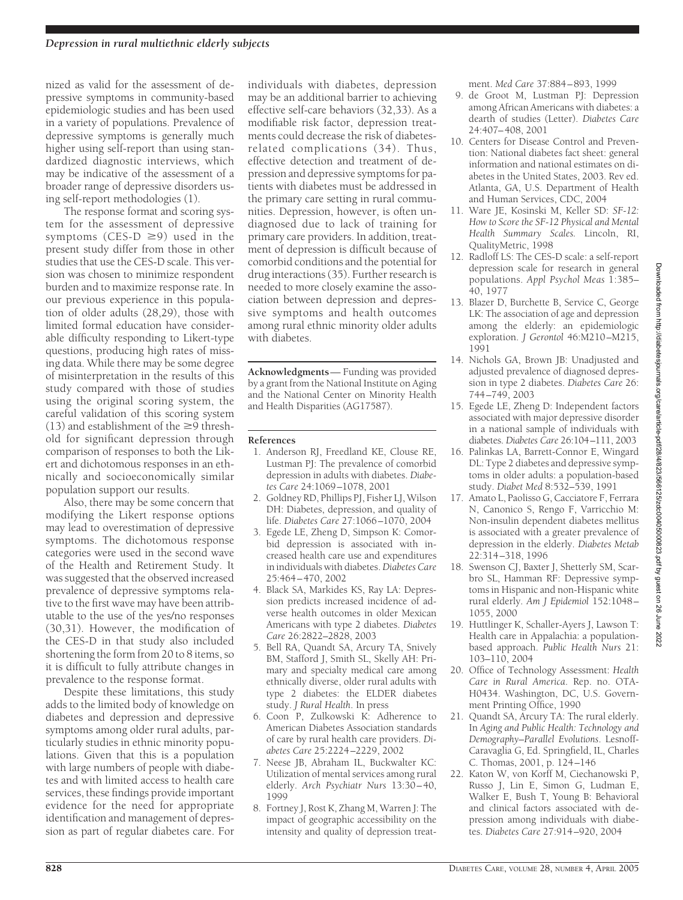nized as valid for the assessment of depressive symptoms in community-based epidemiologic studies and has been used in a variety of populations. Prevalence of depressive symptoms is generally much higher using self-report than using standardized diagnostic interviews, which may be indicative of the assessment of a broader range of depressive disorders using self-report methodologies (1).

The response format and scoring system for the assessment of depressive symptoms (CES-D  $\geq$ 9) used in the present study differ from those in other studies that use the CES-D scale. This version was chosen to minimize respondent burden and to maximize response rate. In our previous experience in this population of older adults (28,29), those with limited formal education have considerable difficulty responding to Likert-type questions, producing high rates of missing data. While there may be some degree of misinterpretation in the results of this study compared with those of studies using the original scoring system, the careful validation of this scoring system (13) and establishment of the  $\geq 9$  threshold for significant depression through comparison of responses to both the Likert and dichotomous responses in an ethnically and socioeconomically similar population support our results.

Also, there may be some concern that modifying the Likert response options may lead to overestimation of depressive symptoms. The dichotomous response categories were used in the second wave of the Health and Retirement Study. It was suggested that the observed increased prevalence of depressive symptoms relative to the first wave may have been attributable to the use of the yes/no responses (30,31). However, the modification of the CES-D in that study also included shortening the form from 20 to 8 items, so it is difficult to fully attribute changes in prevalence to the response format.

Despite these limitations, this study adds to the limited body of knowledge on diabetes and depression and depressive symptoms among older rural adults, particularly studies in ethnic minority populations. Given that this is a population with large numbers of people with diabetes and with limited access to health care services, these findings provide important evidence for the need for appropriate identification and management of depression as part of regular diabetes care. For

individuals with diabetes, depression may be an additional barrier to achieving effective self-care behaviors (32,33). As a modifiable risk factor, depression treatments could decrease the risk of diabetesrelated complications (34). Thus, effective detection and treatment of depression and depressive symptoms for patients with diabetes must be addressed in the primary care setting in rural communities. Depression, however, is often undiagnosed due to lack of training for primary care providers. In addition, treatment of depression is difficult because of comorbid conditions and the potential for drug interactions (35). Further research is needed to more closely examine the association between depression and depressive symptoms and health outcomes among rural ethnic minority older adults with diabetes.

**Acknowledgments**— Funding was provided by a grant from the National Institute on Aging and the National Center on Minority Health and Health Disparities (AG17587).

## **References**

- 1. Anderson RJ, Freedland KE, Clouse RE, Lustman PJ: The prevalence of comorbid depression in adults with diabetes. *Diabetes Care* 24:1069–1078, 2001
- 2. Goldney RD, Phillips PJ, Fisher LJ, Wilson DH: Diabetes, depression, and quality of life. *Diabetes Care* 27:1066–1070, 2004
- 3. Egede LE, Zheng D, Simpson K: Comorbid depression is associated with increased health care use and expenditures in individuals with diabetes.*Diabetes Care* 25:464–470, 2002
- 4. Black SA, Markides KS, Ray LA: Depression predicts increased incidence of adverse health outcomes in older Mexican Americans with type 2 diabetes. *Diabetes Care* 26:2822–2828, 2003
- 5. Bell RA, Quandt SA, Arcury TA, Snively BM, Stafford J, Smith SL, Skelly AH: Primary and specialty medical care among ethnically diverse, older rural adults with type 2 diabetes: the ELDER diabetes study. *J Rural Health*. In press
- 6. Coon P, Zulkowski K: Adherence to American Diabetes Association standards of care by rural health care providers. *Diabetes Care* 25:2224–2229, 2002
- 7. Neese JB, Abraham IL, Buckwalter KC: Utilization of mental services among rural elderly. *Arch Psychiatr Nurs* 13:30–40, 1999
- 8. Fortney J, Rost K, Zhang M, Warren J: The impact of geographic accessibility on the intensity and quality of depression treat-

ment. *Med Care* 37:884–893, 1999

- 9. de Groot M, Lustman PJ: Depression among African Americans with diabetes: a dearth of studies (Letter). *Diabetes Care* 24:407–408, 2001
- 10. Centers for Disease Control and Prevention: National diabetes fact sheet: general information and national estimates on diabetes in the United States, 2003. Rev ed. Atlanta, GA, U.S. Department of Health and Human Services, CDC, 2004
- 11. Ware JE, Kosinski M, Keller SD: *SF-12: How to Score the SF-12 Physical and Mental Health Summary Scales.* Lincoln, RI, QualityMetric, 1998
- 12. Radloff LS: The CES-D scale: a self-report depression scale for research in general populations. *Appl Psychol Meas* 1:385– 40, 1977
- 13. Blazer D, Burchette B, Service C, George LK: The association of age and depression among the elderly: an epidemiologic exploration. *J Gerontol* 46:M210–M215, 1991
- 14. Nichols GA, Brown JB: Unadjusted and adjusted prevalence of diagnosed depression in type 2 diabetes. *Diabetes Care* 26: 744–749, 2003
- 15. Egede LE, Zheng D: Independent factors associated with major depressive disorder in a national sample of individuals with diabetes. *Diabetes Care* 26:104–111, 2003
- 16. Palinkas LA, Barrett-Connor E, Wingard DL: Type 2 diabetes and depressive symptoms in older adults: a population-based study. *Diabet Med* 8:532–539, 1991
- 17. Amato L, Paolisso G, Cacciatore F, Ferrara N, Canonico S, Rengo F, Varricchio M: Non-insulin dependent diabetes mellitus is associated with a greater prevalence of depression in the elderly. *Diabetes Metab* 22:314–318, 1996
- 18. Swenson CJ, Baxter J, Shetterly SM, Scarbro SL, Hamman RF: Depressive symptoms in Hispanic and non-Hispanic white rural elderly. *Am J Epidemiol* 152:1048– 1055, 2000
- 19. Huttlinger K, Schaller-Ayers J, Lawson T: Health care in Appalachia: a populationbased approach. *Public Health Nurs* 21: 103–110, 2004
- 20. Office of Technology Assessment: *Health Care in Rural America*. Rep. no. OTA-H0434. Washington, DC, U.S. Government Printing Office, 1990
- 21. Quandt SA, Arcury TA: The rural elderly. In *Aging and Public Health: Technology and Demography–Parallel Evolutions*. Lesnoff-Caravaglia G, Ed. Springfield, IL, Charles C. Thomas, 2001, p. 124–146
- 22. Katon W, von Korff M, Ciechanowski P, Russo J, Lin E, Simon G, Ludman E, Walker E, Bush T, Young B: Behavioral and clinical factors associated with depression among individuals with diabetes. *Diabetes Care* 27:914–920, 2004